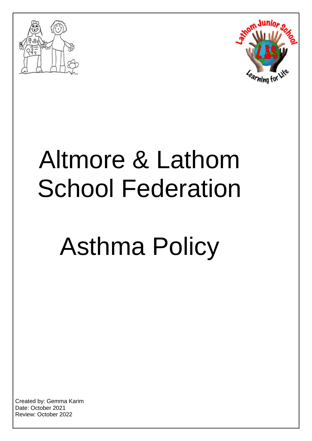



## Altmore & Lathom School Federation

# Asthma Policy

Created by: Gemma Karim Date: October 2021 Review: October 2022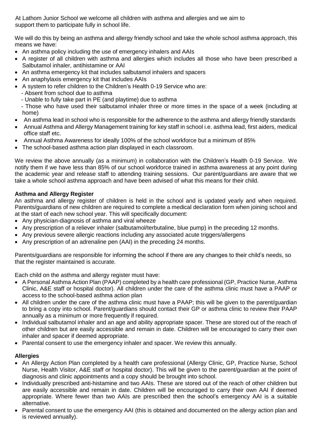At Lathom Junior School we welcome all children with asthma and allergies and we aim to support them to participate fully in school life.

We will do this by being an asthma and allergy friendly school and take the whole school asthma approach, this means we have:

- An asthma policy including the use of emergency inhalers and AAIs
- A register of all children with asthma and allergies which includes all those who have been prescribed a Salbutamol inhaler, antihistamine or AAI
- An asthma emergency kit that includes salbutamol inhalers and spacers
- An anaphylaxis emergency kit that includes AAIs
- A system to refer children to the Children's Health 0-19 Service who are:
	- Absent from school due to asthma
	- Unable to fully take part in PE (and playtime) due to asthma

 - Those who have used their salbutamol inhaler three or more times in the space of a week (including at home)

- An asthma lead in school who is responsible for the adherence to the asthma and allergy friendly standards
- Annual Asthma and Allergy Management training for key staff in school i.e. asthma lead, first aiders, medical office staff etc.
- Annual Asthma Awareness for ideally 100% of the school workforce but a minimum of 85%
- The school-based asthma action plan displayed in each classroom.

We review the above annually (as a minimum) in collaboration with the Children's Health 0-19 Service. We notify them if we have less than 85% of our school workforce trained in asthma awareness at any point during the academic year and release staff to attending training sessions. Our parent/guardians are aware that we take a whole school asthma approach and have been advised of what this means for their child.

## **Asthma and Allergy Register**

An asthma and allergy register of children is held in the school and is updated yearly and when required. Parents/guardians of new children are required to complete a medical declaration form when joining school and at the start of each new school year. This will specifically document:

- Any physician-diagnosis of asthma and viral wheeze
- Any prescription of a reliever inhaler (salbutamol/terbutaline, blue pump) in the preceding 12 months.
- Any previous severe allergic reactions including any associated acute triggers/allergens
- Any prescription of an adrenaline pen (AAI) in the preceding 24 months.

Parents/guardians are responsible for informing the school if there are any changes to their child's needs, so that the register maintained is accurate.

Each child on the asthma and allergy register must have:

- A Personal Asthma Action Plan (PAAP) completed by a health care professional (GP, Practice Nurse, Asthma Clinic, A&E staff or hospital doctor). All children under the care of the asthma clinic must have a PAAP or access to the school-based asthma action plan
- All children under the care of the asthma clinic must have a PAAP; this will be given to the parent/guardian to bring a copy into school. Parent/guardians should contact their GP or asthma clinic to review their PAAP annually as a minimum or more frequently if required.
- Individual salbutamol inhaler and an age and ability appropriate spacer. These are stored out of the reach of other children but are easily accessible and remain in date. Children will be encouraged to carry their own inhaler and spacer if deemed appropriate.
- Parental consent to use the emergency inhaler and spacer. We review this annually.

## **Allergies**

- An Allergy Action Plan completed by a health care professional (Allergy Clinic, GP, Practice Nurse, School Nurse, Health Visitor, A&E staff or hospital doctor). This will be given to the parent/guardian at the point of diagnosis and clinic appointments and a copy should be brought into school.
- Individually prescribed anti-histamine and two AAIs. These are stored out of the reach of other children but are easily accessible and remain in date. Children will be encouraged to carry their own AAI if deemed appropriate. Where fewer than two AAIs are prescribed then the school's emergency AAI is a suitable alternative.
- Parental consent to use the emergency AAI (this is obtained and documented on the allergy action plan and is reviewed annually).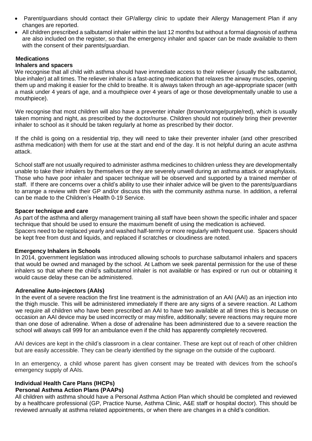- Parent/guardians should contact their GP/allergy clinic to update their Allergy Management Plan if any changes are reported.
- All children prescribed a salbutamol inhaler within the last 12 months but without a formal diagnosis of asthma are also included on the register, so that the emergency inhaler and spacer can be made available to them with the consent of their parents/guardian.

#### **Medications**

#### **Inhalers and spacers**

We recognise that all child with asthma should have immediate access to their reliever (usually the salbutamol, blue inhaler) at all times. The reliever inhaler is a fast-acting medication that relaxes the airway muscles, opening them up and making it easier for the child to breathe. It is always taken through an age-appropriate spacer (with a mask under 4 years of age, and a mouthpiece over 4 years of age or those developmentally unable to use a mouthpiece).

We recognise that most children will also have a preventer inhaler (brown/orange/purple/red), which is usually taken morning and night, as prescribed by the doctor/nurse. Children should not routinely bring their preventer inhaler to school as it should be taken regularly at home as prescribed by their doctor.

If the child is going on a residential trip, they will need to take their preventer inhaler (and other prescribed asthma medication) with them for use at the start and end of the day. It is not helpful during an acute asthma attack.

School staff are not usually required to administer asthma medicines to children unless they are developmentally unable to take their inhalers by themselves or they are severely unwell during an asthma attack or anaphylaxis. Those who have poor inhaler and spacer technique will be observed and supported by a trained member of staff. If there are concerns over a child's ability to use their inhaler advice will be given to the parents/guardians to arrange a review with their GP and/or discuss this with the community asthma nurse. In addition, a referral can be made to the Children's Health 0-19 Service.

#### **Spacer technique and care**

As part of the asthma and allergy management training all staff have been shown the specific inhaler and spacer technique that should be used to ensure the maximum benefit of using the medication is achieved. Spacers need to be replaced yearly and washed half-termly or more regularly with frequent use. Spacers should be kept free from dust and liquids, and replaced if scratches or cloudiness are noted.

#### **Emergency Inhalers in Schools**

In 2014, government legislation was introduced allowing schools to purchase salbutamol inhalers and spacers that would be owned and managed by the school. At Lathom we seek parental permission for the use of these inhalers so that where the child's salbutamol inhaler is not available or has expired or run out or obtaining it would cause delay these can be administered.

#### **Adrenaline Auto-injectors (AAIs)**

In the event of a severe reaction the first line treatment is the administration of an AAI (AAI) as an injection into the thigh muscle. This will be administered immediately If there are any signs of a severe reaction. At Lathom we require all children who have been prescribed an AAI to have two available at all times this is because on occasion an AAI device may be used incorrectly or may misfire, additionally; severe reactions may require more than one dose of adrenaline. When a dose of adrenaline has been administered due to a severe reaction the school will always call 999 for an ambulance even if the child has apparently completely recovered.

AAI devices are kept in the child's classroom in a clear container. These are kept out of reach of other children but are easily accessible. They can be clearly identified by the signage on the outside of the cupboard.

In an emergency, a child whose parent has given consent may be treated with devices from the school's emergency supply of AAIs.

#### **Individual Health Care Plans (IHCPs)**

#### **Personal Asthma Action Plans (PAAPs)**

All children with asthma should have a Personal Asthma Action Plan which should be completed and reviewed by a healthcare professional (GP, Practice Nurse, Asthma Clinic, A&E staff or hospital doctor). This should be reviewed annually at asthma related appointments, or when there are changes in a child's condition.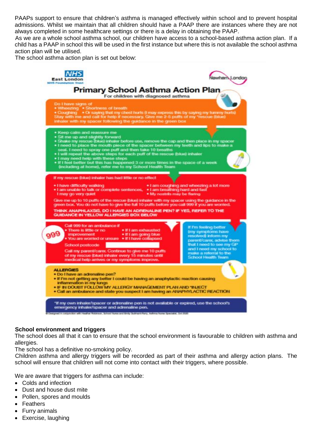PAAPs support to ensure that children's asthma is managed effectively within school and to prevent hospital admissions. Whilst we maintain that all children should have a PAAP there are instances where they are not always completed in some healthcare settings or there is a delay in obtaining the PAAP.

As we are a whole school asthma school, our children have access to a school-based asthma action plan. If a child has a PAAP in school this will be used in the first instance but where this is not available the school asthma action plan will be utilised.

The school asthma action plan is set out below:



## **School environment and triggers**

The school does all that it can to ensure that the school environment is favourable to children with asthma and allergies.

The school has a definitive no-smoking policy.

Children asthma and allergy triggers will be recorded as part of their asthma and allergy action plans. The school will ensure that children will not come into contact with their triggers, where possible.

We are aware that triggers for asthma can include:

- Colds and infection
- Dust and house dust mite
- Pollen, spores and moulds
- Feathers
- Furry animals
- Exercise, laughing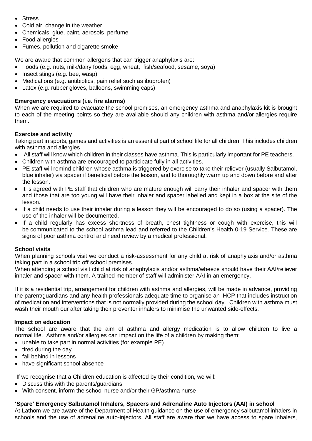- **•** Stress
- Cold air, change in the weather
- Chemicals, glue, paint, aerosols, perfume
- Food allergies
- Fumes, pollution and cigarette smoke

We are aware that common allergens that can trigger anaphylaxis are:

- Foods (e.g. nuts, milk/dairy foods, egg, wheat, fish/seafood, sesame, soya)
- Insect stings (e.g. bee, wasp)
- Medications (e.g. antibiotics, pain relief such as ibuprofen)
- Latex (e.g. rubber gloves, balloons, swimming caps)

## **Emergency evacuations (i.e. fire alarms)**

When we are required to evacuate the school premises, an emergency asthma and anaphylaxis kit is brought to each of the meeting points so they are available should any children with asthma and/or allergies require them.

## **Exercise and activity**

Taking part in sports, games and activities is an essential part of school life for all children. This includes children with asthma and allergies.

- All staff will know which children in their classes have asthma. This is particularly important for PE teachers.
- Children with asthma are encouraged to participate fully in all activities.
- PE staff will remind children whose asthma is triggered by exercise to take their reliever (usually Salbutamol, blue inhaler) via spacer if beneficial before the lesson, and to thoroughly warm up and down before and after the lesson.
- It is agreed with PE staff that children who are mature enough will carry their inhaler and spacer with them and those that are too young will have their inhaler and spacer labelled and kept in a box at the site of the lesson.
- If a child needs to use their inhaler during a lesson they will be encouraged to do so (using a spacer). The use of the inhaler will be documented.
- If a child regularly has excess shortness of breath, chest tightness or cough with exercise, this will be communicated to the school asthma lead and referred to the Children's Health 0-19 Service. These are signs of poor asthma control and need review by a medical professional.

## **School visits**

When planning schools visit we conduct a risk-assessment for any child at risk of anaphylaxis and/or asthma taking part in a school trip off school premises.

When attending a school visit child at risk of anaphylaxis and/or asthma/wheeze should have their AAI/reliever inhaler and spacer with them. A trained member of staff will administer AAI in an emergency.

If it is a residential trip, arrangement for children with asthma and allergies, will be made in advance, providing the parent/guardians and any health professionals adequate time to organise an IHCP that includes instruction of medication and interventions that is not normally provided during the school day. Children with asthma must wash their mouth our after taking their preventer inhalers to minimise the unwanted side-effects.

#### **Impact on education**

The school are aware that the aim of asthma and allergy medication is to allow children to live a normal life. Asthma and/or allergies can impact on the life of a children by making them:

- unable to take part in normal activities (for example PE)
- $\bullet$  tired during the day
- fall behind in lessons
- have significant school absence

If we recognise that a Children education is affected by their condition, we will:

- Discuss this with the parents/guardians
- With consent, inform the school nurse and/or their GP/asthma nurse

## **'Spare' Emergency Salbutamol Inhalers, Spacers and Adrenaline Auto Injectors (AAI) in school**

At Lathom we are aware of the Department of Health guidance on the use of emergency salbutamol inhalers in schools and the use of adrenaline auto-injectors. All staff are aware that we have access to spare inhalers,